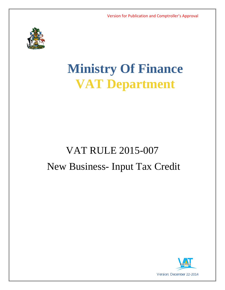

# **Ministry Of Finance VAT Department**

# VAT RULE 2015-007 New Business- Input Tax Credit

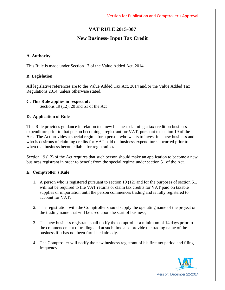## **VAT RULE 2015-007**

### **New Business- Input Tax Credit**

#### **A. Authority**

This Rule is made under Section 17 of the Value Added Act, 2014.

#### **B. Legislation**

All legislative references are to the Value Added Tax Act, 2014 and/or the Value Added Tax Regulations 2014, unless otherwise stated.

#### **C. This Rule applies in respect of:**

Sections 19 (12), 20 and 51 of the Act

#### **D. Application of Rule**

This Rule provides guidance in relation to a new business claiming a tax credit on business expenditure prior to that person becoming a registrant for VAT, pursuant to section 19 of the Act. The Act provides a special regime for a person who wants to invest in a new business and who is desirous of claiming credits for VAT paid on business expenditures incurred prior to when that business become liable for registration**.** 

Section 19 (12) of the Act requires that such person should make an application to become a new business registrant in order to benefit from the special regime under section 51 of the Act.

#### **E. Comptroller's Rule**

- 1. A person who is registered pursuant to section 19 (12) and for the purposes of section 51, will not be required to file VAT returns or claim tax credits for VAT paid on taxable supplies or importation until the person commences trading and is fully registered to account for VAT.
- 2. The registration with the Comptroller should supply the operating name of the project or the trading name that will be used upon the start of business,
- 3. The new business registrant shall notify the comptroller a minimum of 14 days prior to the commencement of trading and at such time also provide the trading name of the business if it has not been furnished already.
- 4. The Comptroller will notify the new business registrant of his first tax period and filing frequency.